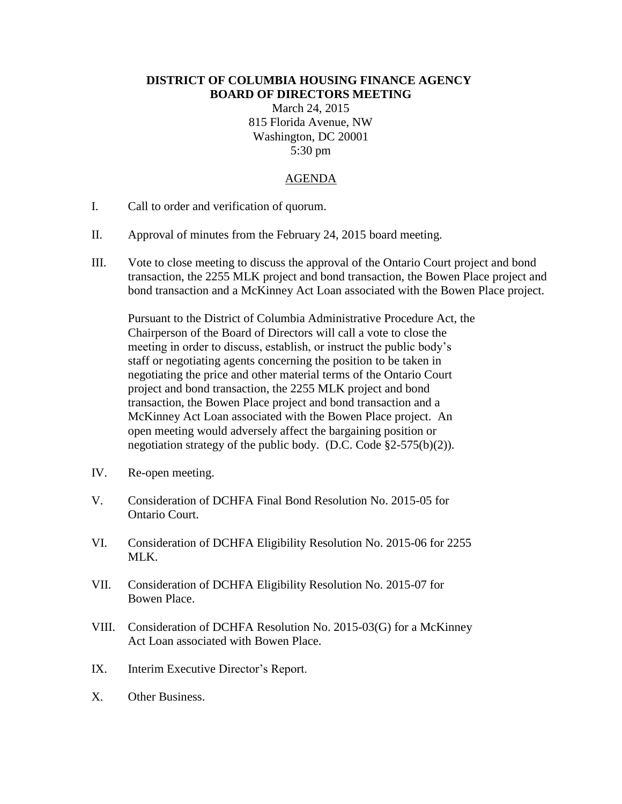## **DISTRICT OF COLUMBIA HOUSING FINANCE AGENCY BOARD OF DIRECTORS MEETING**

March 24, 2015 815 Florida Avenue, NW Washington, DC 20001 5:30 pm

## AGENDA

- I. Call to order and verification of quorum.
- II. Approval of minutes from the February 24, 2015 board meeting.
- III. Vote to close meeting to discuss the approval of the Ontario Court project and bond transaction, the 2255 MLK project and bond transaction, the Bowen Place project and bond transaction and a McKinney Act Loan associated with the Bowen Place project.

Pursuant to the District of Columbia Administrative Procedure Act, the Chairperson of the Board of Directors will call a vote to close the meeting in order to discuss, establish, or instruct the public body's staff or negotiating agents concerning the position to be taken in negotiating the price and other material terms of the Ontario Court project and bond transaction, the 2255 MLK project and bond transaction, the Bowen Place project and bond transaction and a McKinney Act Loan associated with the Bowen Place project. An open meeting would adversely affect the bargaining position or negotiation strategy of the public body. (D.C. Code §2-575(b)(2)).

- IV. Re-open meeting.
- V. Consideration of DCHFA Final Bond Resolution No. 2015-05 for Ontario Court.
- VI. Consideration of DCHFA Eligibility Resolution No. 2015-06 for 2255 MLK.
- VII. Consideration of DCHFA Eligibility Resolution No. 2015-07 for Bowen Place.
- VIII. Consideration of DCHFA Resolution No. 2015-03(G) for a McKinney Act Loan associated with Bowen Place.
- IX. Interim Executive Director's Report.
- X. Other Business.